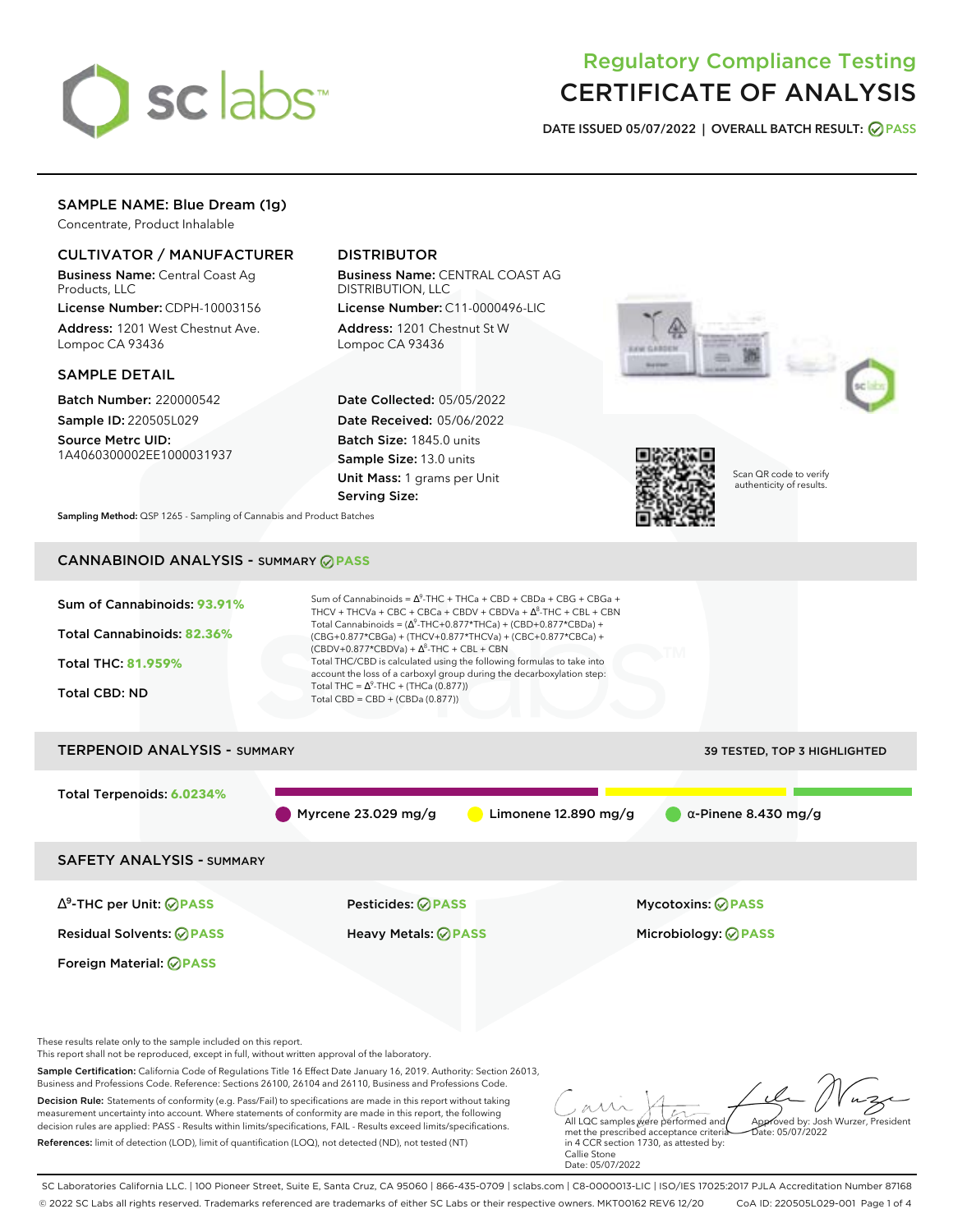

# Regulatory Compliance Testing CERTIFICATE OF ANALYSIS

**DATE ISSUED 05/07/2022 | OVERALL BATCH RESULT: PASS**

# SAMPLE NAME: Blue Dream (1g)

Concentrate, Product Inhalable

# CULTIVATOR / MANUFACTURER

Business Name: Central Coast Ag Products, LLC

License Number: CDPH-10003156 Address: 1201 West Chestnut Ave. Lompoc CA 93436

### SAMPLE DETAIL

Batch Number: 220000542 Sample ID: 220505L029

Source Metrc UID: 1A4060300002EE1000031937

# DISTRIBUTOR

Business Name: CENTRAL COAST AG DISTRIBUTION, LLC License Number: C11-0000496-LIC

Address: 1201 Chestnut St W Lompoc CA 93436

Date Collected: 05/05/2022 Date Received: 05/06/2022 Batch Size: 1845.0 units Sample Size: 13.0 units Unit Mass: 1 grams per Unit Serving Size:





Scan QR code to verify authenticity of results.

**Sampling Method:** QSP 1265 - Sampling of Cannabis and Product Batches

# CANNABINOID ANALYSIS - SUMMARY **PASS**



Sample Certification: California Code of Regulations Title 16 Effect Date January 16, 2019. Authority: Section 26013, Business and Professions Code. Reference: Sections 26100, 26104 and 26110, Business and Professions Code.

Decision Rule: Statements of conformity (e.g. Pass/Fail) to specifications are made in this report without taking measurement uncertainty into account. Where statements of conformity are made in this report, the following decision rules are applied: PASS - Results within limits/specifications, FAIL - Results exceed limits/specifications. References: limit of detection (LOD), limit of quantification (LOQ), not detected (ND), not tested (NT)

All LQC samples were performed and met the prescribed acceptance criteria Approved by: Josh Wurzer, President  $hat: 05/07/2022$ 

in 4 CCR section 1730, as attested by: Callie Stone Date: 05/07/2022

SC Laboratories California LLC. | 100 Pioneer Street, Suite E, Santa Cruz, CA 95060 | 866-435-0709 | sclabs.com | C8-0000013-LIC | ISO/IES 17025:2017 PJLA Accreditation Number 87168 © 2022 SC Labs all rights reserved. Trademarks referenced are trademarks of either SC Labs or their respective owners. MKT00162 REV6 12/20 CoA ID: 220505L029-001 Page 1 of 4